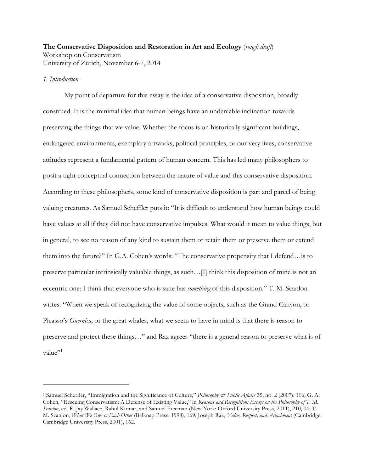# **The Conservative Disposition and Restoration in Art and Ecology** (*rough draft*) Workshop on Conservatism University of Zürich, November 6-7, 2014

# *1. Introduction*

 $\overline{a}$ 

My point of departure for this essay is the idea of a conservative disposition, broadly construed. It is the minimal idea that human beings have an undeniable inclination towards preserving the things that we value. Whether the focus is on historically significant buildings, endangered environments, exemplary artworks, political principles, or our very lives, conservative attitudes represent a fundamental pattern of human concern. This has led many philosophers to posit a tight conceptual connection between the nature of value and this conservative disposition. According to these philosophers, some kind of conservative disposition is part and parcel of being valuing creatures. As Samuel Scheffler puts it: "It is difficult to understand how human beings could have values at all if they did not have conservative impulses. What would it mean to value things, but in general, to see no reason of any kind to sustain them or retain them or preserve them or extend them into the future?" In G.A. Cohen's words: "The conservative propensity that I defend…is to preserve particular intrinsically valuable things, as such…[I] think this disposition of mine is not an eccentric one: I think that everyone who is sane has *something* of this disposition." T. M. Scanlon writes: "When we speak of recognizing the value of some objects, such as the Grand Canyon, or Picasso's *Guernica*, or the great whales, what we seem to have in mind is that there is reason to preserve and protect these things…" and Raz agrees "there is a general reason to preserve what is of value"<sup>1</sup>

<sup>1</sup> Samuel Scheffler, "Immigration and the Significance of Culture," *Philosophy & Public Affairs* 35, no. 2 (2007): 106; G. A. Cohen, "Rescuing Conservatism: A Defense of Existing Value," in *Reasons and Recognition: Essays on the Philosophy of T. M. Scanlon*, ed. R. Jay Wallace, Rahul Kumar, and Samuel Freeman (New York: Oxford University Press, 2011), 210, 04; T. M. Scanlon, *What We Owe to Each Other* (Belknap Press, 1998), 169; Joseph Raz, *Value, Respect, and Attachment* (Cambridge: Cambridge Univeristy Press, 2001), 162.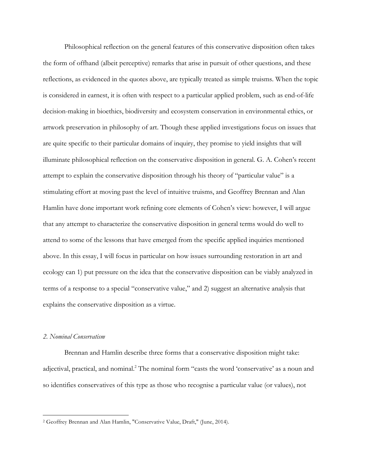Philosophical reflection on the general features of this conservative disposition often takes the form of offhand (albeit perceptive) remarks that arise in pursuit of other questions, and these reflections, as evidenced in the quotes above, are typically treated as simple truisms. When the topic is considered in earnest, it is often with respect to a particular applied problem, such as end-of-life decision-making in bioethics, biodiversity and ecosystem conservation in environmental ethics, or artwork preservation in philosophy of art. Though these applied investigations focus on issues that are quite specific to their particular domains of inquiry, they promise to yield insights that will illuminate philosophical reflection on the conservative disposition in general. G. A. Cohen's recent attempt to explain the conservative disposition through his theory of "particular value" is a stimulating effort at moving past the level of intuitive truisms, and Geoffrey Brennan and Alan Hamlin have done important work refining core elements of Cohen's view: however, I will argue that any attempt to characterize the conservative disposition in general terms would do well to attend to some of the lessons that have emerged from the specific applied inquiries mentioned above. In this essay, I will focus in particular on how issues surrounding restoration in art and ecology can 1) put pressure on the idea that the conservative disposition can be viably analyzed in terms of a response to a special "conservative value," and 2) suggest an alternative analysis that explains the conservative disposition as a virtue.

#### *2. Nominal Conservatism*

Brennan and Hamlin describe three forms that a conservative disposition might take: adjectival, practical, and nominal.<sup>2</sup> The nominal form "casts the word 'conservative' as a noun and so identifies conservatives of this type as those who recognise a particular value (or values), not

 <sup>2</sup> Geoffrey Brennan and Alan Hamlin, "Conservative Value, Draft," (June, 2014).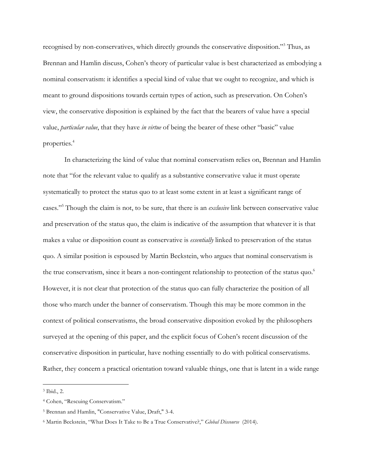recognised by non-conservatives, which directly grounds the conservative disposition."3 Thus, as Brennan and Hamlin discuss, Cohen's theory of particular value is best characterized as embodying a nominal conservatism: it identifies a special kind of value that we ought to recognize, and which is meant to ground dispositions towards certain types of action, such as preservation. On Cohen's view, the conservative disposition is explained by the fact that the bearers of value have a special value, *particular value*, that they have *in virtue* of being the bearer of these other "basic" value properties. 4

In characterizing the kind of value that nominal conservatism relies on, Brennan and Hamlin note that "for the relevant value to qualify as a substantive conservative value it must operate systematically to protect the status quo to at least some extent in at least a significant range of cases."5 Though the claim is not, to be sure, that there is an *exclusive* link between conservative value and preservation of the status quo, the claim is indicative of the assumption that whatever it is that makes a value or disposition count as conservative is *essentially* linked to preservation of the status quo. A similar position is espoused by Martin Beckstein, who argues that nominal conservatism is the true conservatism, since it bears a non-contingent relationship to protection of the status quo.<sup>6</sup> However, it is not clear that protection of the status quo can fully characterize the position of all those who march under the banner of conservatism. Though this may be more common in the context of political conservatisms, the broad conservative disposition evoked by the philosophers surveyed at the opening of this paper, and the explicit focus of Cohen's recent discussion of the conservative disposition in particular, have nothing essentially to do with political conservatisms. Rather, they concern a practical orientation toward valuable things, one that is latent in a wide range

 <sup>3</sup> Ibid., 2.

<sup>4</sup> Cohen, "Rescuing Conservatism."

<sup>5</sup> Brennan and Hamlin, "Conservative Value, Draft," 3-4.

<sup>6</sup> Martin Beckstein, "What Does It Take to Be a True Conservative?," *Global Discourse* (2014).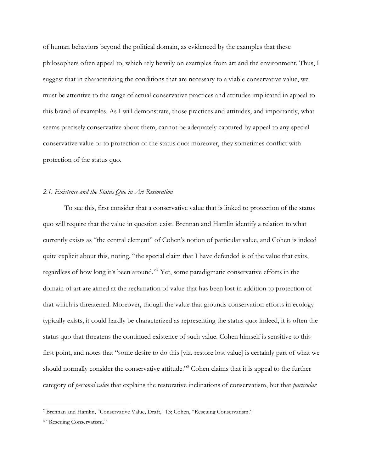of human behaviors beyond the political domain, as evidenced by the examples that these philosophers often appeal to, which rely heavily on examples from art and the environment. Thus, I suggest that in characterizing the conditions that are necessary to a viable conservative value, we must be attentive to the range of actual conservative practices and attitudes implicated in appeal to this brand of examples. As I will demonstrate, those practices and attitudes, and importantly, what seems precisely conservative about them, cannot be adequately captured by appeal to any special conservative value or to protection of the status quo: moreover, they sometimes conflict with protection of the status quo.

### *2.1. Existence and the Status Quo in Art Restoration*

To see this, first consider that a conservative value that is linked to protection of the status quo will require that the value in question exist. Brennan and Hamlin identify a relation to what currently exists as "the central element" of Cohen's notion of particular value, and Cohen is indeed quite explicit about this, noting, "the special claim that I have defended is of the value that exits, regardless of how long it's been around."<sup>7</sup> Yet, some paradigmatic conservative efforts in the domain of art are aimed at the reclamation of value that has been lost in addition to protection of that which is threatened. Moreover, though the value that grounds conservation efforts in ecology typically exists, it could hardly be characterized as representing the status quo: indeed, it is often the status quo that threatens the continued existence of such value. Cohen himself is sensitive to this first point, and notes that "some desire to do this [viz. restore lost value] is certainly part of what we should normally consider the conservative attitude."8 Cohen claims that it is appeal to the further category of *personal value* that explains the restorative inclinations of conservatism, but that *particular* 

 <sup>7</sup> Brennan and Hamlin, "Conservative Value, Draft," 13; Cohen, "Rescuing Conservatism."

<sup>8</sup> "Rescuing Conservatism."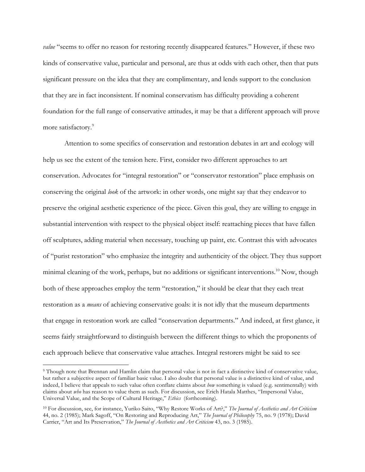*value* "seems to offer no reason for restoring recently disappeared features." However, if these two kinds of conservative value, particular and personal, are thus at odds with each other, then that puts significant pressure on the idea that they are complimentary, and lends support to the conclusion that they are in fact inconsistent. If nominal conservatism has difficulty providing a coherent foundation for the full range of conservative attitudes, it may be that a different approach will prove more satisfactory.<sup>9</sup>

Attention to some specifics of conservation and restoration debates in art and ecology will help us see the extent of the tension here. First, consider two different approaches to art conservation. Advocates for "integral restoration" or "conservator restoration" place emphasis on conserving the original *look* of the artwork: in other words, one might say that they endeavor to preserve the original aesthetic experience of the piece. Given this goal, they are willing to engage in substantial intervention with respect to the physical object itself: reattaching pieces that have fallen off sculptures, adding material when necessary, touching up paint, etc. Contrast this with advocates of "purist restoration" who emphasize the integrity and authenticity of the object. They thus support minimal cleaning of the work, perhaps, but no additions or significant interventions.<sup>10</sup> Now, though both of these approaches employ the term "restoration," it should be clear that they each treat restoration as a *means* of achieving conservative goals: it is not idly that the museum departments that engage in restoration work are called "conservation departments." And indeed, at first glance, it seems fairly straightforward to distinguish between the different things to which the proponents of each approach believe that conservative value attaches. Integral restorers might be said to see

 <sup>9</sup> Though note that Brennan and Hamlin claim that personal value is not in fact a distinctive kind of conservative value, but rather a subjective aspect of familiar basic value. I also doubt that personal value is a distinctive kind of value, and indeed, I believe that appeals to such value often conflate claims about *how* something is valued (e.g. sentimentally) with claims about *who* has reason to value them as such. For discussion, see Erich Hatala Matthes, "Impersonal Value, Universal Value, and the Scope of Cultural Heritage," *Ethics* (forthcoming).

<sup>10</sup> For discussion, see, for instance, Yuriko Saito, "Why Restore Works of Art?," *The Journal of Aesthetics and Art Criticism* 44, no. 2 (1985); Mark Sagoff, "On Restoring and Reproducing Art," *The Journal of Philosophy* 75, no. 9 (1978); David Carrier, "Art and Its Preservation," *The Journal of Aesthetics and Art Criticism* 43, no. 3 (1985).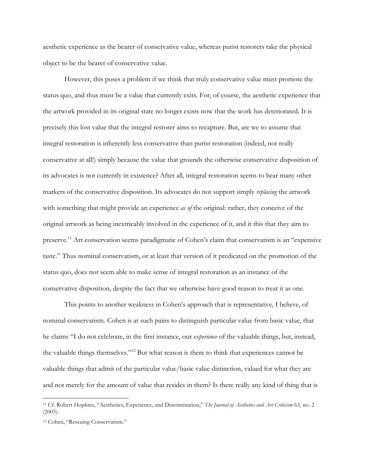aesthetic experience as the bearer of conservative value, whereas purist restorers take the physical object to be the bearer of conservative value.

However, this poses a problem if we think that truly conservative value must promote the status quo, and thus must be a value that currently exits. For, of course, the aesthetic experience that the artwork provided in its original state no longer exists now that the work has deteriorated. It is precisely this lost value that the integral restorer aims to recapture. But, are we to assume that integral restoration is inherently less conservative than purist restoration (indeed, not really conservative at all!) simply because the value that grounds the otherwise conservative disposition of its advocates is not currently in existence? After all, integral restoration seems to bear many other markers of the conservative disposition. Its advocates do not support simply *replacing* the artwork with something that might provide an experience *as of* the original: rather, they conceive of the original artwork as being inextricably involved in the experience of it, and it this that they aim to preserve.<sup>11</sup> Art conservation seems paradigmatic of Cohen's claim that conservatism is an "expensive taste." Thus nominal conservatism, or at least that version of it predicated on the promotion of the status quo, does not seem able to make sense of integral restoration as an instance of the conservative disposition, despite the fact that we otherwise have good reason to treat it as one.

This points to another weakness in Cohen's approach that is representative, I believe, of nominal conservatism. Cohen is at such pains to distinguish particular value from basic value, that he claims "I do not celebrate, in the first instance, our *experience* of the valuable things, but, instead, the valuable things themselves."12 But what reason is there to think that experiences cannot be valuable things that admit of the particular value/basic value distinction, valued for what they are and not merely for the amount of value that resides in them? Is there really any kind of thing that is

 <sup>11</sup> Cf. Robert Hopkins, "Aesthetics, Experience, and Discrimination," *The Journal of Aesthetics and Art Criticism* 63, no. 2 (2005).

<sup>12</sup> Cohen, "Rescuing Conservatism."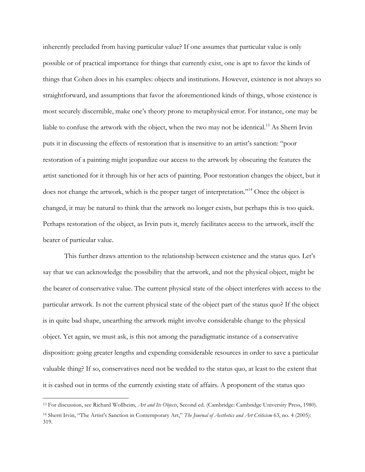inherently precluded from having particular value? If one assumes that particular value is only possible or of practical importance for things that currently exist, one is apt to favor the kinds of things that Cohen does in his examples: objects and institutions. However, existence is not always so straightforward, and assumptions that favor the aforementioned kinds of things, whose existence is most securely discernible, make one's theory prone to metaphysical error. For instance, one may be liable to confuse the artwork with the object, when the two may not be identical.<sup>13</sup> As Sherri Irvin puts it in discussing the effects of restoration that is insensitive to an artist's sanction: "poor restoration of a painting might jeopardize our access to the artwork by obscuring the features the artist sanctioned for it through his or her acts of painting. Poor restoration changes the object, but it does not change the artwork, which is the proper target of interpretation."<sup>14</sup> Once the object is changed, it may be natural to think that the artwork no longer exists, but perhaps this is too quick. Perhaps restoration of the object, as Irvin puts it, merely facilitates access to the artwork, itself the bearer of particular value.

This further draws attention to the relationship between existence and the status quo. Let's say that we can acknowledge the possibility that the artwork, and not the physical object, might be the bearer of conservative value. The current physical state of the object interferes with access to the particular artwork. Is not the current physical state of the object part of the status quo? If the object is in quite bad shape, unearthing the artwork might involve considerable change to the physical object. Yet again, we must ask, is this not among the paradigmatic instance of a conservative disposition: going greater lengths and expending considerable resources in order to save a particular valuable thing? If so, conservatives need not be wedded to the status quo, at least to the extent that it is cashed out in terms of the currently existing state of affairs. A proponent of the status quo

 <sup>13</sup> For discussion, see Richard Wollheim, *Art and Its Objects*, Second ed. (Cambridge: Cambridge University Press, 1980). <sup>14</sup> Sherri Irvin, "The Artist's Sanction in Contemporary Art," *The Journal of Aesthetics and Art Criticism* 63, no. 4 (2005): 319.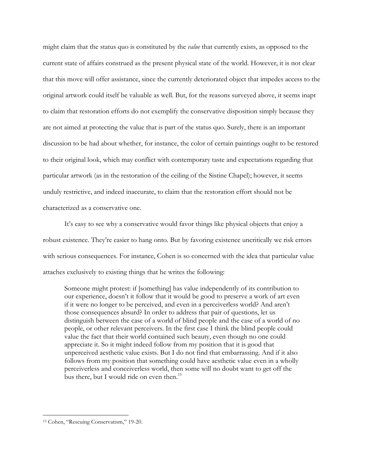might claim that the status quo is constituted by the *value* that currently exists, as opposed to the current state of affairs construed as the present physical state of the world. However, it is not clear that this move will offer assistance, since the currently deteriorated object that impedes access to the original artwork could itself be valuable as well. But, for the reasons surveyed above, it seems inapt to claim that restoration efforts do not exemplify the conservative disposition simply because they are not aimed at protecting the value that is part of the status quo. Surely, there is an important discussion to be had about whether, for instance, the color of certain paintings ought to be restored to their original look, which may conflict with contemporary taste and expectations regarding that particular artwork (as in the restoration of the ceiling of the Sistine Chapel); however, it seems unduly restrictive, and indeed inaccurate, to claim that the restoration effort should not be characterized as a conservative one.

It's easy to see why a conservative would favor things like physical objects that enjoy a robust existence. They're easier to hang onto. But by favoring existence uncritically we risk errors with serious consequences. For instance, Cohen is so concerned with the idea that particular value attaches exclusively to existing things that he writes the following:

Someone might protest: if [something] has value independently of its contribution to our experience, doesn't it follow that it would be good to preserve a work of art even if it were no longer to be perceived, and even in a perceiverless world? And aren't those consequences absurd? In order to address that pair of questions, let us distinguish between the case of a world of blind people and the case of a world of no people, or other relevant perceivers. In the first case I think the blind people could value the fact that their world contained such beauty, even though no one could appreciate it. So it might indeed follow from my position that it is good that unperceived aesthetic value exists. But I do not find that embarrassing. And if it also follows from my position that something could have aesthetic value even in a wholly perceiverless and conceiverless world, then some will no doubt want to get off the bus there, but I would ride on even then.<sup>15</sup>

 <sup>15</sup> Cohen, "Rescuing Conservatism," 19-20.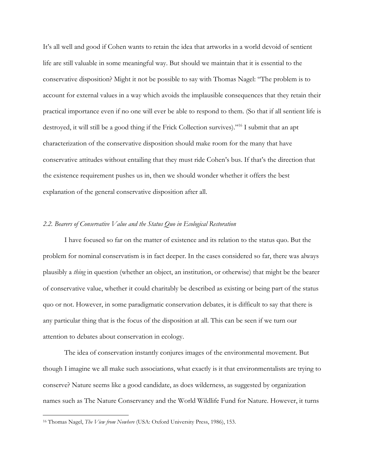It's all well and good if Cohen wants to retain the idea that artworks in a world devoid of sentient life are still valuable in some meaningful way. But should we maintain that it is essential to the conservative disposition? Might it not be possible to say with Thomas Nagel: "The problem is to account for external values in a way which avoids the implausible consequences that they retain their practical importance even if no one will ever be able to respond to them. (So that if all sentient life is destroyed, it will still be a good thing if the Frick Collection survives)."<sup>16</sup> I submit that an apt characterization of the conservative disposition should make room for the many that have conservative attitudes without entailing that they must ride Cohen's bus. If that's the direction that the existence requirement pushes us in, then we should wonder whether it offers the best explanation of the general conservative disposition after all.

#### *2.2. Bearers of Conservative Value and the Status Quo in Ecological Restoration*

I have focused so far on the matter of existence and its relation to the status quo. But the problem for nominal conservatism is in fact deeper. In the cases considered so far, there was always plausibly a *thing* in question (whether an object, an institution, or otherwise) that might be the bearer of conservative value, whether it could charitably be described as existing or being part of the status quo or not. However, in some paradigmatic conservation debates, it is difficult to say that there is any particular thing that is the focus of the disposition at all. This can be seen if we turn our attention to debates about conservation in ecology.

The idea of conservation instantly conjures images of the environmental movement. But though I imagine we all make such associations, what exactly is it that environmentalists are trying to conserve? Nature seems like a good candidate, as does wilderness, as suggested by organization names such as The Nature Conservancy and the World Wildlife Fund for Nature. However, it turns

 <sup>16</sup> Thomas Nagel, *The View from Nowhere* (USA: Oxford University Press, 1986), 153.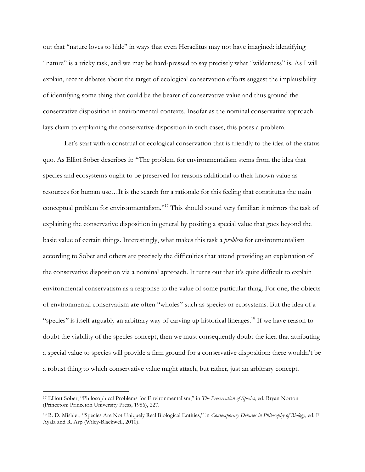out that "nature loves to hide" in ways that even Heraclitus may not have imagined: identifying "nature" is a tricky task, and we may be hard-pressed to say precisely what "wilderness" is. As I will explain, recent debates about the target of ecological conservation efforts suggest the implausibility of identifying some thing that could be the bearer of conservative value and thus ground the conservative disposition in environmental contexts. Insofar as the nominal conservative approach lays claim to explaining the conservative disposition in such cases, this poses a problem.

Let's start with a construal of ecological conservation that is friendly to the idea of the status quo. As Elliot Sober describes it: "The problem for environmentalism stems from the idea that species and ecosystems ought to be preserved for reasons additional to their known value as resources for human use…It is the search for a rationale for this feeling that constitutes the main conceptual problem for environmentalism."17 This should sound very familiar: it mirrors the task of explaining the conservative disposition in general by positing a special value that goes beyond the basic value of certain things. Interestingly, what makes this task a *problem* for environmentalism according to Sober and others are precisely the difficulties that attend providing an explanation of the conservative disposition via a nominal approach. It turns out that it's quite difficult to explain environmental conservatism as a response to the value of some particular thing. For one, the objects of environmental conservatism are often "wholes" such as species or ecosystems. But the idea of a "species" is itself arguably an arbitrary way of carving up historical lineages.<sup>18</sup> If we have reason to doubt the viability of the species concept, then we must consequently doubt the idea that attributing a special value to species will provide a firm ground for a conservative disposition: there wouldn't be a robust thing to which conservative value might attach, but rather, just an arbitrary concept.

 <sup>17</sup> Elliott Sober, "Philosophical Problems for Environmentalism," in *The Preservation of Species*, ed. Bryan Norton (Princeton: Princeton University Press, 1986), 227.

<sup>18</sup> B. D. Mishler, "Species Are Not Uniquely Real Biological Entities," in *Contemporary Debates in Philosophy of Biology*, ed. F. Ayala and R. Arp (Wiley-Blackwell, 2010).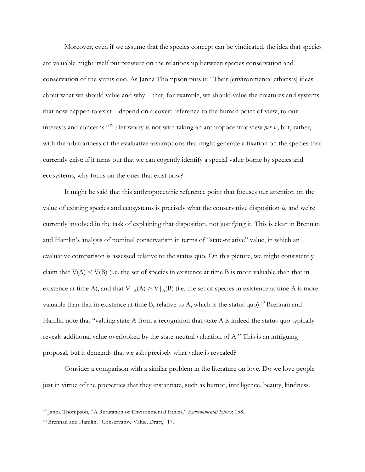Moreover, even if we assume that the species concept can be vindicated, the idea that species are valuable might itself put pressure on the relationship between species conservation and conservation of the status quo. As Janna Thompson puts it: "Their [environmental ethicists] ideas about what we should value and why—that, for example, we should value the creatures and systems that now happen to exist—depend on a covert reference to the human point of view, to our interests and concerns."19 Her worry is not with taking an anthropocentric view *per se*, but, rather, with the arbitrariness of the evaluative assumptions that might generate a fixation on the species that currently exist: if it turns out that we can cogently identify a special value borne by species and ecosystems, why focus on the ones that exist now?

It might be said that this anthropocentric reference point that focuses our attention on the value of existing species and ecosystems is precisely what the conservative disposition *is,* and we're currently involved in the task of explaining that disposition, not justifying it. This is clear in Brennan and Hamlin's analysis of nominal conservatism in terms of "state-relative" value, in which an evaluative comparison is assessed relative to the status quo. On this picture, we might consistently claim that  $V(A) \le V(B)$  (i.e. the set of species in existence at time B is more valuable than that in existence at time A), and that  $V|_A(A) > V|_A(B)$  (i.e. the set of species in existence at time A is more valuable than that in existence at time B, relative to A, which is the status quo).<sup>20</sup> Brennan and Hamlin note that "valuing state A from a recognition that state A is indeed the status quo typically reveals additional value overlooked by the state-neutral valuation of A." This is an intriguing proposal, but it demands that we ask: precisely what value is revealed?

Consider a comparison with a similar problem in the literature on love. Do we love people just in virtue of the properties that they instantiate, such as humor, intelligence, beauty, kindness,

 <sup>19</sup> Janna Thompson, "A Refutation of Environmental Ethics," *Environmental Ethics*: 158.

<sup>20</sup> Brennan and Hamlin, "Conservative Value, Draft," 17.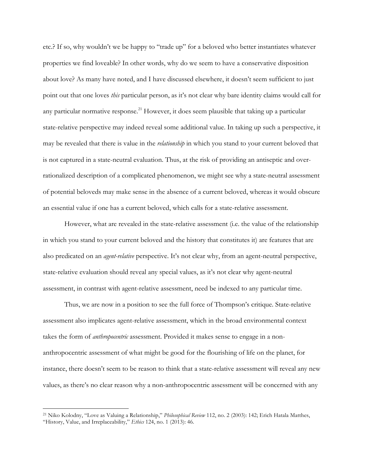etc.? If so, why wouldn't we be happy to "trade up" for a beloved who better instantiates whatever properties we find loveable? In other words, why do we seem to have a conservative disposition about love? As many have noted, and I have discussed elsewhere, it doesn't seem sufficient to just point out that one loves *this* particular person, as it's not clear why bare identity claims would call for any particular normative response.<sup>21</sup> However, it does seem plausible that taking up a particular state-relative perspective may indeed reveal some additional value. In taking up such a perspective, it may be revealed that there is value in the *relationship* in which you stand to your current beloved that is not captured in a state-neutral evaluation. Thus, at the risk of providing an antiseptic and overrationalized description of a complicated phenomenon, we might see why a state-neutral assessment of potential beloveds may make sense in the absence of a current beloved, whereas it would obscure an essential value if one has a current beloved, which calls for a state-relative assessment.

However, what are revealed in the state-relative assessment (i.e. the value of the relationship in which you stand to your current beloved and the history that constitutes it) are features that are also predicated on an *agent-relative* perspective. It's not clear why, from an agent-neutral perspective, state-relative evaluation should reveal any special values, as it's not clear why agent-neutral assessment, in contrast with agent-relative assessment, need be indexed to any particular time.

Thus, we are now in a position to see the full force of Thompson's critique. State-relative assessment also implicates agent-relative assessment, which in the broad environmental context takes the form of *anthropocentric* assessment. Provided it makes sense to engage in a nonanthropocentric assessment of what might be good for the flourishing of life on the planet, for instance, there doesn't seem to be reason to think that a state-relative assessment will reveal any new values, as there's no clear reason why a non-anthropocentric assessment will be concerned with any

 <sup>21</sup> Niko Kolodny, "Love as Valuing a Relationship," *Philosophical Review* 112, no. 2 (2003): 142; Erich Hatala Matthes, "History, Value, and Irreplaceability," *Ethics* 124, no. 1 (2013): 46.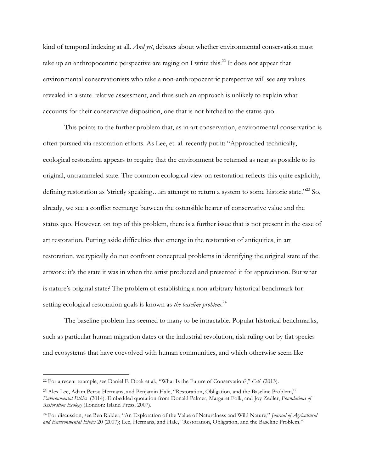kind of temporal indexing at all. *And yet*, debates about whether environmental conservation must take up an anthropocentric perspective are raging on I write this.<sup>22</sup> It does not appear that environmental conservationists who take a non-anthropocentric perspective will see any values revealed in a state-relative assessment, and thus such an approach is unlikely to explain what accounts for their conservative disposition, one that is not hitched to the status quo.

This points to the further problem that, as in art conservation, environmental conservation is often pursued via restoration efforts. As Lee, et. al. recently put it: "Approached technically, ecological restoration appears to require that the environment be returned as near as possible to its original, untrammeled state. The common ecological view on restoration reflects this quite explicitly, defining restoration as 'strictly speaking…an attempt to return a system to some historic state."23 So, already, we see a conflict reemerge between the ostensible bearer of conservative value and the status quo. However, on top of this problem, there is a further issue that is not present in the case of art restoration. Putting aside difficulties that emerge in the restoration of antiquities, in art restoration, we typically do not confront conceptual problems in identifying the original state of the artwork: it's the state it was in when the artist produced and presented it for appreciation. But what is nature's original state? The problem of establishing a non-arbitrary historical benchmark for setting ecological restoration goals is known as *the baseline problem*. 24

The baseline problem has seemed to many to be intractable. Popular historical benchmarks, such as particular human migration dates or the industrial revolution, risk ruling out by fiat species and ecosystems that have coevolved with human communities, and which otherwise seem like

 <sup>22</sup> For a recent example, see Daniel F. Doak et al., "What Is the Future of Conservation?," *Cell* (2013).

<sup>23</sup> Alex Lee, Adam Perou Hermans, and Benjamin Hale, "Restoration, Obligation, and the Baseline Problem," *Environmental Ethics* (2014). Embedded quotation from Donald Palmer, Margaret Folk, and Joy Zedler, *Foundations of Restoration Ecology* (London: Island Press, 2007).

<sup>24</sup> For discussion, see Ben Ridder, "An Exploration of the Value of Naturalness and Wild Nature," *Journal of Agricultural and Environmental Ethics* 20 (2007); Lee, Hermans, and Hale, "Restoration, Obligation, and the Baseline Problem."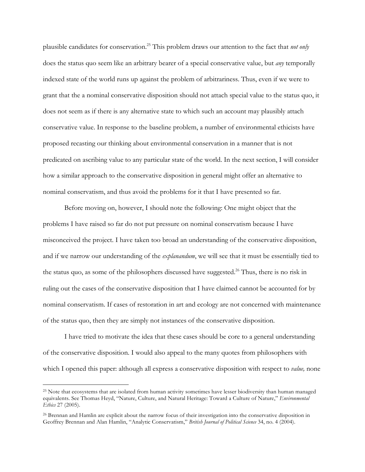plausible candidates for conservation. <sup>25</sup> This problem draws our attention to the fact that *not only* does the status quo seem like an arbitrary bearer of a special conservative value, but *any* temporally indexed state of the world runs up against the problem of arbitrariness. Thus, even if we were to grant that the a nominal conservative disposition should not attach special value to the status quo, it does not seem as if there is any alternative state to which such an account may plausibly attach conservative value. In response to the baseline problem, a number of environmental ethicists have proposed recasting our thinking about environmental conservation in a manner that is not predicated on ascribing value to any particular state of the world. In the next section, I will consider how a similar approach to the conservative disposition in general might offer an alternative to nominal conservatism, and thus avoid the problems for it that I have presented so far.

Before moving on, however, I should note the following: One might object that the problems I have raised so far do not put pressure on nominal conservatism because I have misconceived the project. I have taken too broad an understanding of the conservative disposition, and if we narrow our understanding of the *explanandum*, we will see that it must be essentially tied to the status quo, as some of the philosophers discussed have suggested.<sup>26</sup> Thus, there is no risk in ruling out the cases of the conservative disposition that I have claimed cannot be accounted for by nominal conservatism. If cases of restoration in art and ecology are not concerned with maintenance of the status quo, then they are simply not instances of the conservative disposition.

I have tried to motivate the idea that these cases should be core to a general understanding of the conservative disposition. I would also appeal to the many quotes from philosophers with which I opened this paper: although all express a conservative disposition with respect to *value,* none

 <sup>25</sup> Note that ecosystems that are isolated from human activity sometimes have lesser biodiversity than human managed equivalents. See Thomas Heyd, "Nature, Culture, and Natural Heritage: Toward a Culture of Nature," *Environmental Ethics* 27 (2005).

<sup>26</sup> Brennan and Hamlin are explicit about the narrow focus of their investigation into the conservative disposition in Geoffrey Brennan and Alan Hamlin, "Analytic Conservatism," *British Journal of Political Science* 34, no. 4 (2004).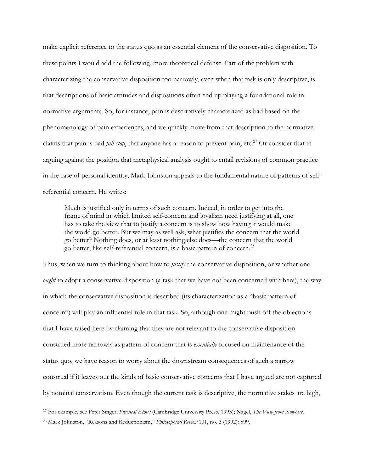make explicit reference to the status quo as an essential element of the conservative disposition. To these points I would add the following, more theoretical defense. Part of the problem with characterizing the conservative disposition too narrowly, even when that task is only descriptive, is that descriptions of basic attitudes and dispositions often end up playing a foundational role in normative arguments. So, for instance, pain is descriptively characterized as bad based on the phenomenology of pain experiences, and we quickly move from that description to the normative claims that pain is bad *full stop*, that anyone has a reason to prevent pain, etc.<sup>27</sup> Or consider that in arguing against the position that metaphysical analysis ought to entail revisions of common practice in the case of personal identity, Mark Johnston appeals to the fundamental nature of patterns of selfreferential concern. He writes:

Much is justified only in terms of such concern. Indeed, in order to get into the frame of mind in which limited self-concern and loyalism need justifying at all, one has to take the view that to justify a concern is to show how having it would make the world go better. But we may as well ask, what justifies the concern that the world go better? Nothing does, or at least nothing else does—the concern that the world go better, like self-referential concern, is a basic pattern of concern.28

Thus, when we turn to thinking about how to *justify* the conservative disposition, or whether one *ought* to adopt a conservative disposition (a task that we have not been concerned with here), the way in which the conservative disposition is described (its characterization as a "basic pattern of concern") will play an influential role in that task. So, although one might push off the objections that I have raised here by claiming that they are not relevant to the conservative disposition construed more narrowly as pattern of concern that is *essentially* focused on maintenance of the status quo, we have reason to worry about the downstream consequences of such a narrow construal if it leaves out the kinds of basic conservative concerns that I have argued are not captured by nominal conservatism. Even though the current task is descriptive, the normative stakes are high,

 <sup>27</sup> For example, see Peter Singer, *Practical Ethics* (Cambridge University Press, 1993); Nagel, *The View from Nowhere*.

<sup>28</sup> Mark Johnston, "Reasons and Reductionism," *Philosophical Review* 101, no. 3 (1992): 599.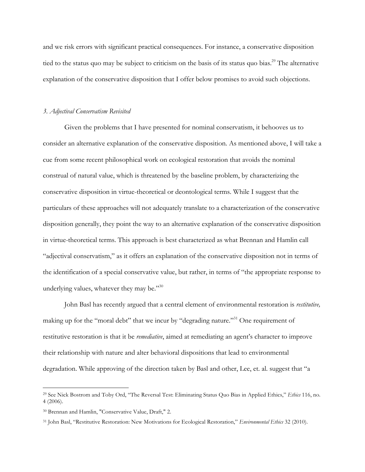and we risk errors with significant practical consequences. For instance, a conservative disposition tied to the status quo may be subject to criticism on the basis of its status quo bias.<sup>29</sup> The alternative explanation of the conservative disposition that I offer below promises to avoid such objections.

#### *3. Adjectival Conservatism Revisited*

Given the problems that I have presented for nominal conservatism, it behooves us to consider an alternative explanation of the conservative disposition. As mentioned above, I will take a cue from some recent philosophical work on ecological restoration that avoids the nominal construal of natural value, which is threatened by the baseline problem, by characterizing the conservative disposition in virtue-theoretical or deontological terms. While I suggest that the particulars of these approaches will not adequately translate to a characterization of the conservative disposition generally, they point the way to an alternative explanation of the conservative disposition in virtue-theoretical terms. This approach is best characterized as what Brennan and Hamlin call "adjectival conservatism," as it offers an explanation of the conservative disposition not in terms of the identification of a special conservative value, but rather, in terms of "the appropriate response to underlying values, whatever they may be."<sup>30</sup>

John Basl has recently argued that a central element of environmental restoration is *restitutive,*  making up for the "moral debt" that we incur by "degrading nature."<sup>31</sup> One requirement of restitutive restoration is that it be *remediative*, aimed at remediating an agent's character to improve their relationship with nature and alter behavioral dispositions that lead to environmental degradation. While approving of the direction taken by Basl and other, Lee, et. al. suggest that "a

 <sup>29</sup> See Nick Bostrom and Toby Ord, "The Reversal Test: Eliminating Status Quo Bias in Applied Ethics," *Ethics* 116, no. 4 (2006).

<sup>30</sup> Brennan and Hamlin, "Conservative Value, Draft," 2.

<sup>31</sup> John Basl, "Restitutive Restoration: New Motivations for Ecological Restoration," *Environmental Ethics* 32 (2010).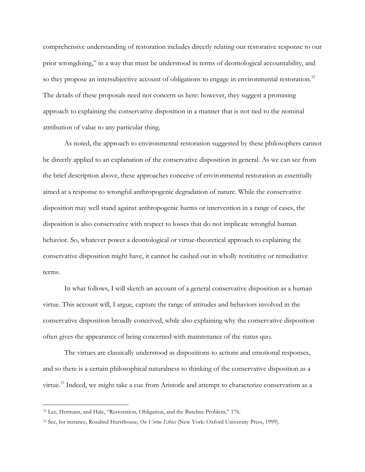comprehensive understanding of restoration includes directly relating our restorative response to our prior wrongdoing," in a way that must be understood in terms of deontological accountability, and so they propose an intersubjective account of obligations to engage in environmental restoration.<sup>32</sup> The details of these proposals need not concern us here: however, they suggest a promising approach to explaining the conservative disposition in a manner that is not tied to the nominal attribution of value to any particular thing.

As noted, the approach to environmental restoration suggested by these philosophers cannot be directly applied to an explanation of the conservative disposition in general. As we can see from the brief description above, these approaches conceive of environmental restoration as essentially aimed at a response to wrongful anthropogenic degradation of nature. While the conservative disposition may well stand against anthropogenic harms or intervention in a range of cases, the disposition is also conservative with respect to losses that do not implicate wrongful human behavior. So, whatever power a deontological or virtue-theoretical approach to explaining the conservative disposition might have, it cannot be cashed out in wholly restitutive or remediative terms.

In what follows, I will sketch an account of a general conservative disposition as a human virtue. This account will, I argue, capture the range of attitudes and behaviors involved in the conservative disposition broadly conceived, while also explaining why the conservative disposition often gives the appearance of being concerned with maintenance of the status quo.

The virtues are classically understood as dispositions to actions and emotional responses, and so there is a certain philosophical naturalness to thinking of the conservative disposition as a virtue.<sup>33</sup> Indeed, we might take a cue from Aristotle and attempt to characterize conservatism as a

 <sup>32</sup> Lee, Hermans, and Hale, "Restoration, Obligation, and the Baseline Problem," 176.

<sup>33</sup> See, for instance, Rosalind Hursthouse, *On Virtue Ethics* (New York: Oxford University Press, 1999).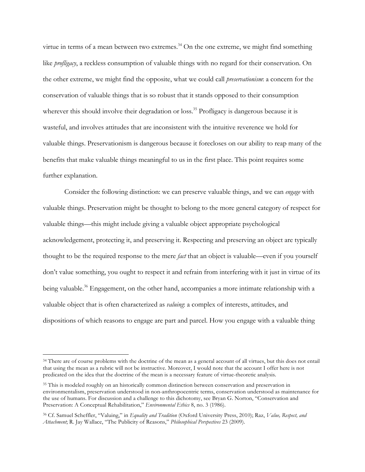virtue in terms of a mean between two extremes.<sup>34</sup> On the one extreme, we might find something like *profligacy*, a reckless consumption of valuable things with no regard for their conservation. On the other extreme, we might find the opposite, what we could call *preservationism*: a concern for the conservation of valuable things that is so robust that it stands opposed to their consumption wherever this should involve their degradation or loss.<sup>35</sup> Profligacy is dangerous because it is wasteful, and involves attitudes that are inconsistent with the intuitive reverence we hold for valuable things. Preservationism is dangerous because it forecloses on our ability to reap many of the benefits that make valuable things meaningful to us in the first place. This point requires some further explanation.

Consider the following distinction: we can preserve valuable things, and we can *engage* with valuable things. Preservation might be thought to belong to the more general category of respect for valuable things—this might include giving a valuable object appropriate psychological acknowledgement, protecting it, and preserving it. Respecting and preserving an object are typically thought to be the required response to the mere *fact* that an object is valuable—even if you yourself don't value something, you ought to respect it and refrain from interfering with it just in virtue of its being valuable.<sup>36</sup> Engagement, on the other hand, accompanies a more intimate relationship with a valuable object that is often characterized as *valuing*: a complex of interests, attitudes, and dispositions of which reasons to engage are part and parcel. How you engage with a valuable thing

<sup>&</sup>lt;sup>34</sup> There are of course problems with the doctrine of the mean as a general account of all virtues, but this does not entail that using the mean as a rubric will not be instructive. Moreover, I would note that the account I offer here is not predicated on the idea that the doctrine of the mean is a necessary feature of virtue-theoretic analysis.

<sup>&</sup>lt;sup>35</sup> This is modeled roughly on an historically common distinction between conservation and preservation in environmentalism, preservation understood in non-anthropocentric terms, conservation understood as maintenance for the use of humans. For discussion and a challenge to this dichotomy, see Bryan G. Norton, "Conservation and Preservation: A Conceptual Rehabilitation," *Environmental Ethics* 8, no. 3 (1986).

<sup>36</sup> Cf. Samuel Scheffler, "Valuing," in *Equality and Tradition* (Oxford University Press, 2010); Raz, *Value, Respect, and Attachment*; R. Jay Wallace, "The Publicity of Reasons," *Philosophical Perspectives* 23 (2009).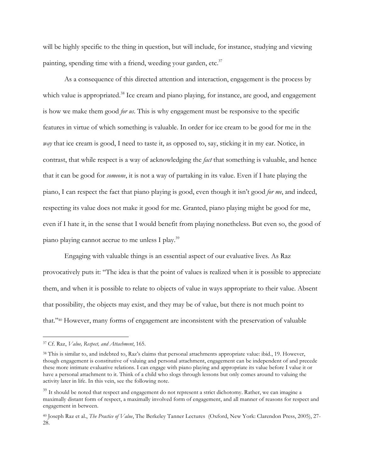will be highly specific to the thing in question, but will include, for instance, studying and viewing painting, spending time with a friend, weeding your garden, etc.<sup>37</sup>

As a consequence of this directed attention and interaction, engagement is the process by which value is appropriated.<sup>38</sup> Ice cream and piano playing, for instance, are good, and engagement is how we make them good *for us*. This is why engagement must be responsive to the specific features in virtue of which something is valuable. In order for ice cream to be good for me in the *way* that ice cream is good, I need to taste it, as opposed to, say, sticking it in my ear. Notice, in contrast, that while respect is a way of acknowledging the *fact* that something is valuable, and hence that it can be good for *someone*, it is not a way of partaking in its value. Even if I hate playing the piano, I can respect the fact that piano playing is good, even though it isn't good *for me*, and indeed, respecting its value does not make it good for me. Granted, piano playing might be good for me, even if I hate it, in the sense that I would benefit from playing nonetheless. But even so, the good of piano playing cannot accrue to me unless I play.39

Engaging with valuable things is an essential aspect of our evaluative lives. As Raz provocatively puts it: "The idea is that the point of values is realized when it is possible to appreciate them, and when it is possible to relate to objects of value in ways appropriate to their value. Absent that possibility, the objects may exist, and they may be of value, but there is not much point to that."40 However, many forms of engagement are inconsistent with the preservation of valuable

 <sup>37</sup> Cf. Raz, *Value, Respect, and Attachment*, 165.

<sup>38</sup> This is similar to, and indebted to, Raz's claims that personal attachments appropriate value: ibid., 19. However, though engagement is constitutive of valuing and personal attachment, engagement can be independent of and precede these more intimate evaluative relations. I can engage with piano playing and appropriate its value before I value it or have a personal attachment to it. Think of a child who slogs through lessons but only comes around to valuing the activity later in life. In this vein, see the following note.

<sup>&</sup>lt;sup>39</sup> It should be noted that respect and engagement do not represent a strict dichotomy. Rather, we can imagine a maximally distant form of respect, a maximally involved form of engagement, and all manner of reasons for respect and engagement in between.

<sup>40</sup> Joseph Raz et al., *The Practice of Value*, The Berkeley Tanner Lectures (Oxford, New York: Clarendon Press, 2005), 27- 28.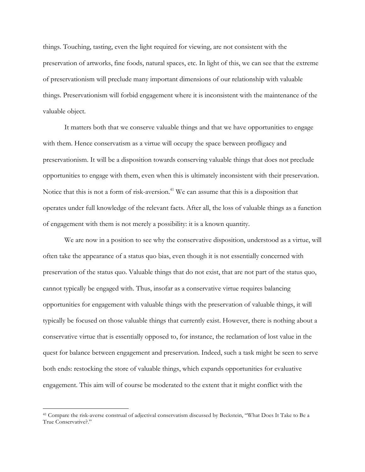things. Touching, tasting, even the light required for viewing, are not consistent with the preservation of artworks, fine foods, natural spaces, etc. In light of this, we can see that the extreme of preservationism will preclude many important dimensions of our relationship with valuable things. Preservationism will forbid engagement where it is inconsistent with the maintenance of the valuable object.

It matters both that we conserve valuable things and that we have opportunities to engage with them. Hence conservatism as a virtue will occupy the space between profligacy and preservationism. It will be a disposition towards conserving valuable things that does not preclude opportunities to engage with them, even when this is ultimately inconsistent with their preservation. Notice that this is not a form of risk-aversion.<sup>41</sup> We can assume that this is a disposition that operates under full knowledge of the relevant facts. After all, the loss of valuable things as a function of engagement with them is not merely a possibility: it is a known quantity.

We are now in a position to see why the conservative disposition, understood as a virtue, will often take the appearance of a status quo bias, even though it is not essentially concerned with preservation of the status quo. Valuable things that do not exist, that are not part of the status quo, cannot typically be engaged with. Thus, insofar as a conservative virtue requires balancing opportunities for engagement with valuable things with the preservation of valuable things, it will typically be focused on those valuable things that currently exist. However, there is nothing about a conservative virtue that is essentially opposed to, for instance, the reclamation of lost value in the quest for balance between engagement and preservation. Indeed, such a task might be seen to serve both ends: restocking the store of valuable things, which expands opportunities for evaluative engagement. This aim will of course be moderated to the extent that it might conflict with the

 <sup>41</sup> Compare the risk-averse construal of adjectival conservatism discussed by Beckstein, "What Does It Take to Be a True Conservative?."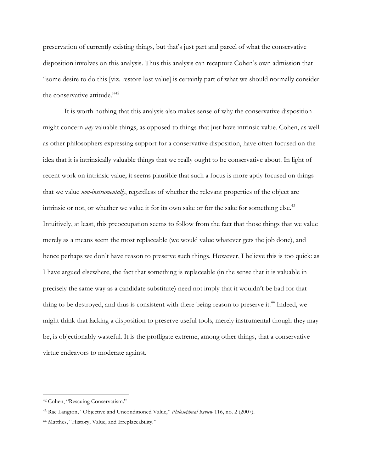preservation of currently existing things, but that's just part and parcel of what the conservative disposition involves on this analysis. Thus this analysis can recapture Cohen's own admission that "some desire to do this [viz. restore lost value] is certainly part of what we should normally consider the conservative attitude."<sup>42</sup>

It is worth nothing that this analysis also makes sense of why the conservative disposition might concern *any* valuable things, as opposed to things that just have intrinsic value. Cohen, as well as other philosophers expressing support for a conservative disposition, have often focused on the idea that it is intrinsically valuable things that we really ought to be conservative about. In light of recent work on intrinsic value, it seems plausible that such a focus is more aptly focused on things that we value *non-instrumentally*, regardless of whether the relevant properties of the object are intrinsic or not, or whether we value it for its own sake or for the sake for something else. $43$ Intuitively, at least, this preoccupation seems to follow from the fact that those things that we value merely as a means seem the most replaceable (we would value whatever gets the job done), and hence perhaps we don't have reason to preserve such things. However, I believe this is too quick: as I have argued elsewhere, the fact that something is replaceable (in the sense that it is valuable in precisely the same way as a candidate substitute) need not imply that it wouldn't be bad for that thing to be destroyed, and thus is consistent with there being reason to preserve it.<sup>44</sup> Indeed, we might think that lacking a disposition to preserve useful tools, merely instrumental though they may be, is objectionably wasteful. It is the profligate extreme, among other things, that a conservative virtue endeavors to moderate against.

 <sup>42</sup> Cohen, "Rescuing Conservatism."

<sup>43</sup> Rae Langton, "Objective and Unconditioned Value," *Philosophical Review* 116, no. 2 (2007).

<sup>44</sup> Matthes, "History, Value, and Irreplaceability."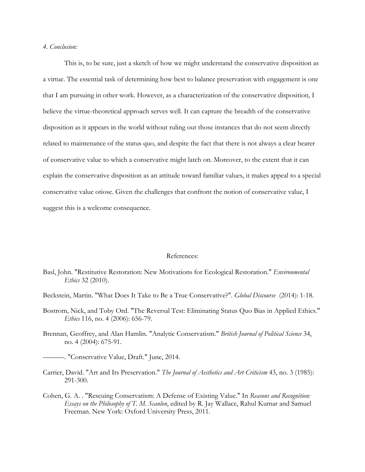# *4. Conclusion:*

This is, to be sure, just a sketch of how we might understand the conservative disposition as a virtue. The essential task of determining how best to balance preservation with engagement is one that I am pursuing in other work. However, as a characterization of the conservative disposition, I believe the virtue-theoretical approach serves well. It can capture the breadth of the conservative disposition as it appears in the world without ruling out those instances that do not seem directly related to maintenance of the status quo, and despite the fact that there is not always a clear bearer of conservative value to which a conservative might latch on. Moreover, to the extent that it can explain the conservative disposition as an attitude toward familiar values, it makes appeal to a special conservative value otiose. Given the challenges that confront the notion of conservative value, I suggest this is a welcome consequence.

### References:

- Basl, John. "Restitutive Restoration: New Motivations for Ecological Restoration." *Environmental Ethics* 32 (2010).
- Beckstein, Martin. "What Does It Take to Be a True Conservative?". *Global Discourse* (2014): 1-18.
- Bostrom, Nick, and Toby Ord. "The Reversal Test: Eliminating Status Quo Bias in Applied Ethics." *Ethics* 116, no. 4 (2006): 656-79.
- Brennan, Geoffrey, and Alan Hamlin. "Analytic Conservatism." *British Journal of Political Science* 34, no. 4 (2004): 675-91.

———. "Conservative Value, Draft." June, 2014.

- Carrier, David. "Art and Its Preservation." *The Journal of Aesthetics and Art Criticism* 43, no. 3 (1985): 291-300.
- Cohen, G. A. . "Rescuing Conservatism: A Defense of Existing Value." In *Reasons and Recognition: Essays on the Philosophy of T. M. Scanlon*, edited by R. Jay Wallace, Rahul Kumar and Samuel Freeman. New York: Oxford University Press, 2011.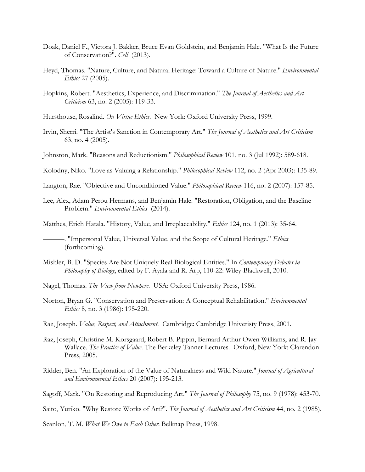- Doak, Daniel F., Victora J. Bakker, Bruce Evan Goldstein, and Benjamin Hale. "What Is the Future of Conservation?". *Cell* (2013).
- Heyd, Thomas. "Nature, Culture, and Natural Heritage: Toward a Culture of Nature." *Environmental Ethics* 27 (2005).
- Hopkins, Robert. "Aesthetics, Experience, and Discrimination." *The Journal of Aesthetics and Art Criticism* 63, no. 2 (2005): 119-33.
- Hursthouse, Rosalind. *On Virtue Ethics*. New York: Oxford University Press, 1999.
- Irvin, Sherri. "The Artist's Sanction in Contemporary Art." *The Journal of Aesthetics and Art Criticism*  63, no. 4 (2005).
- Johnston, Mark. "Reasons and Reductionism." *Philosophical Review* 101, no. 3 (Jul 1992): 589-618.
- Kolodny, Niko. "Love as Valuing a Relationship." *Philosophical Review* 112, no. 2 (Apr 2003): 135-89.
- Langton, Rae. "Objective and Unconditioned Value." *Philosophical Review* 116, no. 2 (2007): 157-85.
- Lee, Alex, Adam Perou Hermans, and Benjamin Hale. "Restoration, Obligation, and the Baseline Problem." *Environmental Ethics* (2014).
- Matthes, Erich Hatala. "History, Value, and Irreplaceability." *Ethics* 124, no. 1 (2013): 35-64.
	- ———. "Impersonal Value, Universal Value, and the Scope of Cultural Heritage." *Ethics*  (forthcoming).
- Mishler, B. D. "Species Are Not Uniquely Real Biological Entities." In *Contemporary Debates in Philosophy of Biology*, edited by F. Ayala and R. Arp, 110-22: Wiley-Blackwell, 2010.
- Nagel, Thomas. *The View from Nowhere*. USA: Oxford University Press, 1986.
- Norton, Bryan G. "Conservation and Preservation: A Conceptual Rehabilitation." *Environmental Ethics* 8, no. 3 (1986): 195-220.
- Raz, Joseph. *Value, Respect, and Attachment*. Cambridge: Cambridge Univeristy Press, 2001.
- Raz, Joseph, Christine M. Korsgaard, Robert B. Pippin, Bernard Arthur Owen Williams, and R. Jay Wallace. *The Practice of Value*. The Berkeley Tanner Lectures. Oxford, New York: Clarendon Press, 2005.
- Ridder, Ben. "An Exploration of the Value of Naturalness and Wild Nature." *Journal of Agricultural and Environmental Ethics* 20 (2007): 195-213.
- Sagoff, Mark. "On Restoring and Reproducing Art." *The Journal of Philosophy* 75, no. 9 (1978): 453-70.

Saito, Yuriko. "Why Restore Works of Art?". *The Journal of Aesthetics and Art Criticism* 44, no. 2 (1985).

Scanlon, T. M. *What We Owe to Each Other*. Belknap Press, 1998.